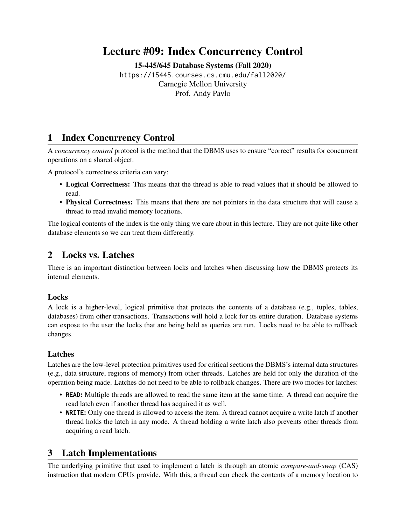# Lecture #09: Index Concurrency Control

[15-445/645 Database Systems \(Fall 2020\)](https://15445.courses.cs.cmu.edu/fall2020/)

<https://15445.courses.cs.cmu.edu/fall2020/> Carnegie Mellon University [Prof. Andy Pavlo](http://www.cs.cmu.edu/~pavlo/)

### 1 Index Concurrency Control

A *concurrency control* protocol is the method that the DBMS uses to ensure "correct" results for concurrent operations on a shared object.

A protocol's correctness criteria can vary:

- Logical Correctness: This means that the thread is able to read values that it should be allowed to read.
- Physical Correctness: This means that there are not pointers in the data structure that will cause a thread to read invalid memory locations.

The logical contents of the index is the only thing we care about in this lecture. They are not quite like other database elements so we can treat them differently.

### 2 Locks vs. Latches

There is an important distinction between locks and latches when discussing how the DBMS protects its internal elements.

#### **Locks**

A lock is a higher-level, logical primitive that protects the contents of a database (e.g., tuples, tables, databases) from other transactions. Transactions will hold a lock for its entire duration. Database systems can expose to the user the locks that are being held as queries are run. Locks need to be able to rollback changes.

#### Latches

Latches are the low-level protection primitives used for critical sections the DBMS's internal data structures (e.g., data structure, regions of memory) from other threads. Latches are held for only the duration of the operation being made. Latches do not need to be able to rollback changes. There are two modes for latches:

- **READ**: Multiple threads are allowed to read the same item at the same time. A thread can acquire the read latch even if another thread has acquired it as well.
- **WRITE**: Only one thread is allowed to access the item. A thread cannot acquire a write latch if another thread holds the latch in any mode. A thread holding a write latch also prevents other threads from acquiring a read latch.

### 3 Latch Implementations

The underlying primitive that used to implement a latch is through an atomic *compare-and-swap* (CAS) instruction that modern CPUs provide. With this, a thread can check the contents of a memory location to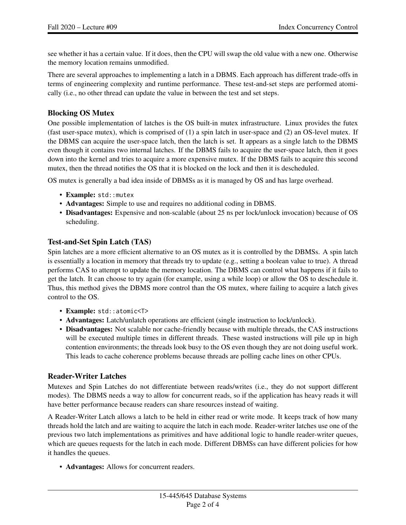see whether it has a certain value. If it does, then the CPU will swap the old value with a new one. Otherwise the memory location remains unmodified.

There are several approaches to implementing a latch in a DBMS. Each approach has different trade-offs in terms of engineering complexity and runtime performance. These test-and-set steps are performed atomically (i.e., no other thread can update the value in between the test and set steps.

#### Blocking OS Mutex

One possible implementation of latches is the OS built-in mutex infrastructure. Linux provides the futex (fast user-space mutex), which is comprised of (1) a spin latch in user-space and (2) an OS-level mutex. If the DBMS can acquire the user-space latch, then the latch is set. It appears as a single latch to the DBMS even though it contains two internal latches. If the DBMS fails to acquire the user-space latch, then it goes down into the kernel and tries to acquire a more expensive mutex. If the DBMS fails to acquire this second mutex, then the thread notifies the OS that it is blocked on the lock and then it is descheduled.

OS mutex is generally a bad idea inside of DBMSs as it is managed by OS and has large overhead.

- Example: std::mutex
- Advantages: Simple to use and requires no additional coding in DBMS.
- Disadvantages: Expensive and non-scalable (about 25 ns per lock/unlock invocation) because of OS scheduling.

#### Test-and-Set Spin Latch (TAS)

Spin latches are a more efficient alternative to an OS mutex as it is controlled by the DBMSs. A spin latch is essentially a location in memory that threads try to update (e.g., setting a boolean value to true). A thread performs CAS to attempt to update the memory location. The DBMS can control what happens if it fails to get the latch. It can choose to try again (for example, using a while loop) or allow the OS to deschedule it. Thus, this method gives the DBMS more control than the OS mutex, where failing to acquire a latch gives control to the OS.

- Example: std::atomic<T>
- Advantages: Latch/unlatch operations are efficient (single instruction to lock/unlock).
- Disadvantages: Not scalable nor cache-friendly because with multiple threads, the CAS instructions will be executed multiple times in different threads. These wasted instructions will pile up in high contention environments; the threads look busy to the OS even though they are not doing useful work. This leads to cache coherence problems because threads are polling cache lines on other CPUs.

#### Reader-Writer Latches

Mutexes and Spin Latches do not differentiate between reads/writes (i.e., they do not support different modes). The DBMS needs a way to allow for concurrent reads, so if the application has heavy reads it will have better performance because readers can share resources instead of waiting.

A Reader-Writer Latch allows a latch to be held in either read or write mode. It keeps track of how many threads hold the latch and are waiting to acquire the latch in each mode. Reader-writer latches use one of the previous two latch implementations as primitives and have additional logic to handle reader-writer queues, which are queues requests for the latch in each mode. Different DBMSs can have different policies for how it handles the queues.

• Advantages: Allows for concurrent readers.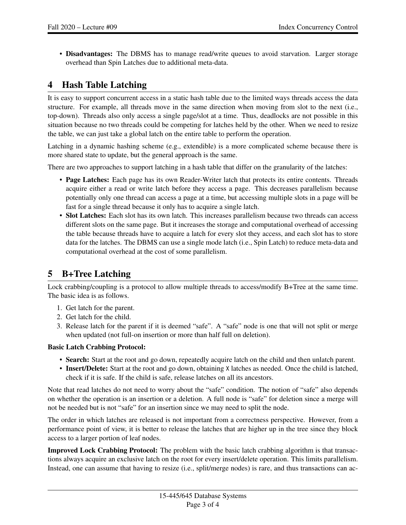• Disadvantages: The DBMS has to manage read/write queues to avoid starvation. Larger storage overhead than Spin Latches due to additional meta-data.

## 4 Hash Table Latching

It is easy to support concurrent access in a static hash table due to the limited ways threads access the data structure. For example, all threads move in the same direction when moving from slot to the next (i.e., top-down). Threads also only access a single page/slot at a time. Thus, deadlocks are not possible in this situation because no two threads could be competing for latches held by the other. When we need to resize the table, we can just take a global latch on the entire table to perform the operation.

Latching in a dynamic hashing scheme (e.g., extendible) is a more complicated scheme because there is more shared state to update, but the general approach is the same.

There are two approaches to support latching in a hash table that differ on the granularity of the latches:

- Page Latches: Each page has its own Reader-Writer latch that protects its entire contents. Threads acquire either a read or write latch before they access a page. This decreases parallelism because potentially only one thread can access a page at a time, but accessing multiple slots in a page will be fast for a single thread because it only has to acquire a single latch.
- Slot Latches: Each slot has its own latch. This increases parallelism because two threads can access different slots on the same page. But it increases the storage and computational overhead of accessing the table because threads have to acquire a latch for every slot they access, and each slot has to store data for the latches. The DBMS can use a single mode latch (i.e., Spin Latch) to reduce meta-data and computational overhead at the cost of some parallelism.

### 5 B+Tree Latching

Lock crabbing/coupling is a protocol to allow multiple threads to access/modify B+Tree at the same time. The basic idea is as follows.

- 1. Get latch for the parent.
- 2. Get latch for the child.
- 3. Release latch for the parent if it is deemed "safe". A "safe" node is one that will not split or merge when updated (not full-on insertion or more than half full on deletion).

#### Basic Latch Crabbing Protocol:

- Search: Start at the root and go down, repeatedly acquire latch on the child and then unlatch parent.
- Insert/Delete: Start at the root and go down, obtaining X latches as needed. Once the child is latched, check if it is safe. If the child is safe, release latches on all its ancestors.

Note that read latches do not need to worry about the "safe" condition. The notion of "safe" also depends on whether the operation is an insertion or a deletion. A full node is "safe" for deletion since a merge will not be needed but is not "safe" for an insertion since we may need to split the node.

The order in which latches are released is not important from a correctness perspective. However, from a performance point of view, it is better to release the latches that are higher up in the tree since they block access to a larger portion of leaf nodes.

Improved Lock Crabbing Protocol: The problem with the basic latch crabbing algorithm is that transactions always acquire an exclusive latch on the root for every insert/delete operation. This limits parallelism. Instead, one can assume that having to resize (i.e., split/merge nodes) is rare, and thus transactions can ac